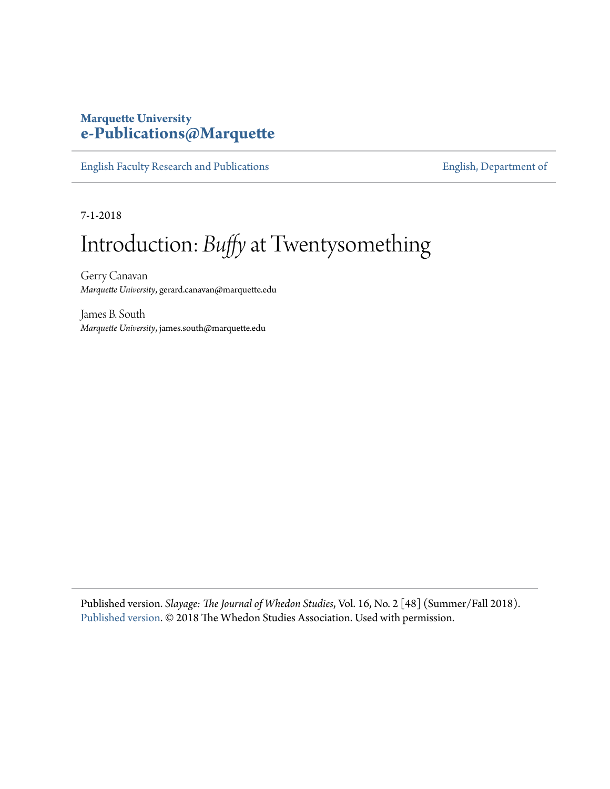## **Marquette University [e-Publications@Marquette](https://epublications.marquette.edu)**

[English Faculty Research and Publications](https://epublications.marquette.edu/english_fac) **[English, Department of](https://epublications.marquette.edu/english)** 

7-1-2018

# Introduction: *Buffy*at Twentysomething

Gerry Canavan *Marquette University*, gerard.canavan@marquette.edu

James B. South *Marquette University*, james.south@marquette.edu

Published version. *Slayage: The Journal of Whedon Studies*, Vol. 16, No. 2 [48] (Summer/Fall 2018). [Published version](https://www.whedonstudies.tv/volume-16.html). © 2018 The Whedon Studies Association. Used with permission.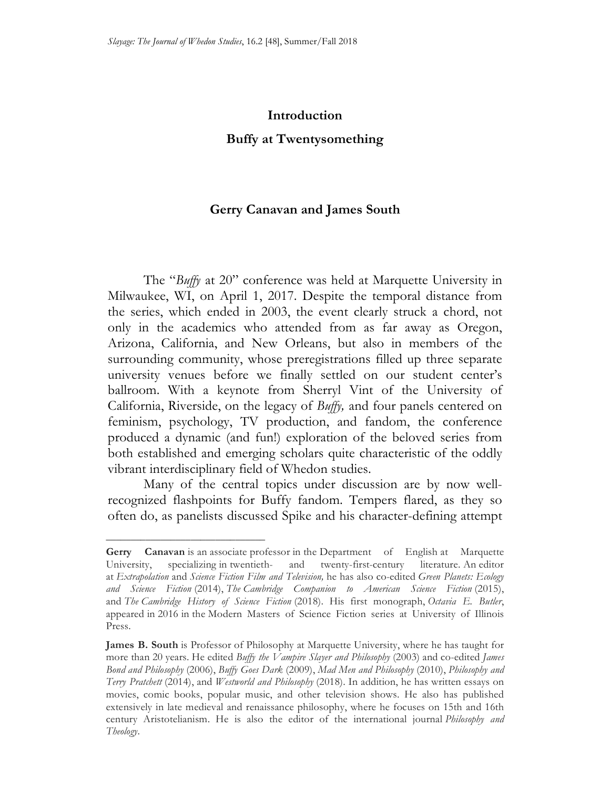#### **Introduction**

### **Buffy at Twentysomething**

### **Gerry Canavan and James South**

 The "*Buffy* at 20" conference was held at Marquette University in Milwaukee, WI, on April 1, 2017. Despite the temporal distance from the series, which ended in 2003, the event clearly struck a chord, not only in the academics who attended from as far away as Oregon, Arizona, California, and New Orleans, but also in members of the surrounding community, whose preregistrations filled up three separate university venues before we finally settled on our student center's ballroom. With a keynote from Sherryl Vint of the University of California, Riverside, on the legacy of *Buffy,* and four panels centered on feminism, psychology, TV production, and fandom, the conference produced a dynamic (and fun!) exploration of the beloved series from both established and emerging scholars quite characteristic of the oddly vibrant interdisciplinary field of Whedon studies.

 Many of the central topics under discussion are by now well- recognized flashpoints for Buffy fandom. Tempers flared, as they so often do, as panelists discussed Spike and his character-defining attempt

**\_\_\_\_\_\_\_\_\_\_\_\_\_\_\_\_\_\_\_\_\_\_\_\_\_\_\_\_\_\_\_\_** 

 **Gerry Canavan** is an associate professor in the Department of English at Marquette specializing in twentieth- at *Extrapolation* and *Science Fiction Film and Television,* he has also co-edited *Green Planets: Ecology and Science Fiction* (2014), *The Cambridge Companion to American Science Fiction* (2015),  and *The Cambridge History of Science Fiction* (2018). His first monograph, *Octavia E. Butler*, appeared in 2016 in the Modern Masters of Science Fiction series at University of Illinois University, specializing in twentieth- and twenty-first-century literature. An editor Press.

James B. South is Professor of Philosophy at Marquette University, where he has taught for more than 20 years. He edited *Buffy the Vampire Slayer and Philosophy* (2003) and co-edited *James Bond and Philosophy* (2006), *Buffy Goes Dark* (2009), *Mad Men and Philosophy* (2010), *Philosophy and Terry Pratchett* (2014), and *Westworld and Philosophy* (2018). In addition, he has written essays on movies, comic books, popular music, and other television shows. He also has published extensively in late medieval and renaissance philosophy, where he focuses on 15th and 16th century Aristotelianism. He is also the editor of the international journal *Philosophy and Theology*.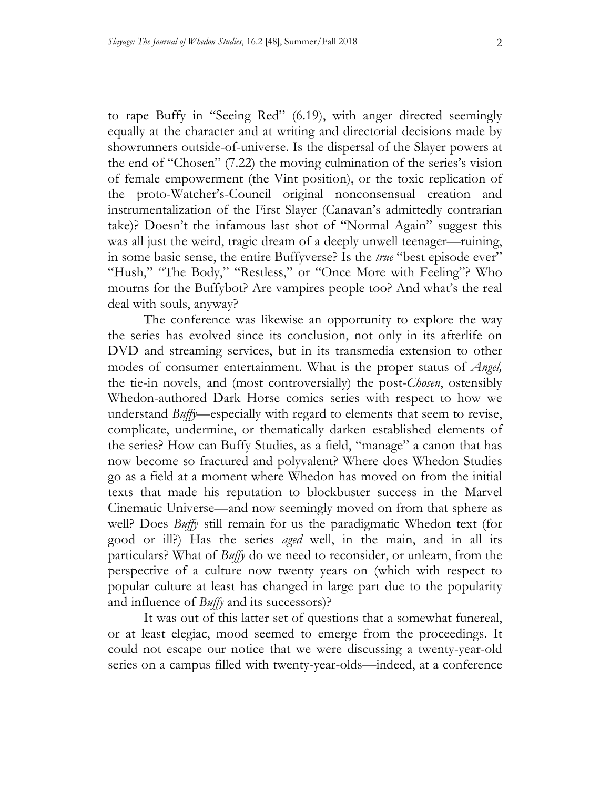to rape Buffy in "Seeing Red" (6.19), with anger directed seemingly equally at the character and at writing and directorial decisions made by showrunners outside-of-universe. Is the dispersal of the Slayer powers at the end of "Chosen" (7.22) the moving culmination of the series's vision of female empowerment (the Vint position), or the toxic replication of the proto-Watcher's-Council original nonconsensual creation and instrumentalization of the First Slayer (Canavan's admittedly contrarian take)? Doesn't the infamous last shot of "Normal Again" suggest this was all just the weird, tragic dream of a deeply unwell teenager—ruining, in some basic sense, the entire Buffyverse? Is the *true* "best episode ever" "Hush," "The Body," "Restless," or "Once More with Feeling"? Who mourns for the Buffybot? Are vampires people too? And what's the real deal with souls, anyway?

 The conference was likewise an opportunity to explore the way the series has evolved since its conclusion, not only in its afterlife on DVD and streaming services, but in its transmedia extension to other modes of consumer entertainment. What is the proper status of *Angel,*  Whedon-authored Dark Horse comics series with respect to how we understand *Buffy*—especially with regard to elements that seem to revise, complicate, undermine, or thematically darken established elements of the series? How can Buffy Studies, as a field, "manage" a canon that has now become so fractured and polyvalent? Where does Whedon Studies go as a field at a moment where Whedon has moved on from the initial texts that made his reputation to blockbuster success in the Marvel Cinematic Universe—and now seemingly moved on from that sphere as well? Does *Buffy* still remain for us the paradigmatic Whedon text (for good or ill?) Has the series *aged* well, in the main, and in all its particulars? What of *Buffy* do we need to reconsider, or unlearn, from the perspective of a culture now twenty years on (which with respect to popular culture at least has changed in large part due to the popularity and influence of *Buffy* and its successors)? the tie-in novels, and (most controversially) the post-*Chosen*, ostensibly

 It was out of this latter set of questions that a somewhat funereal, or at least elegiac, mood seemed to emerge from the proceedings. It could not escape our notice that we were discussing a twenty-year-old series on a campus filled with twenty-year-olds—indeed, at a conference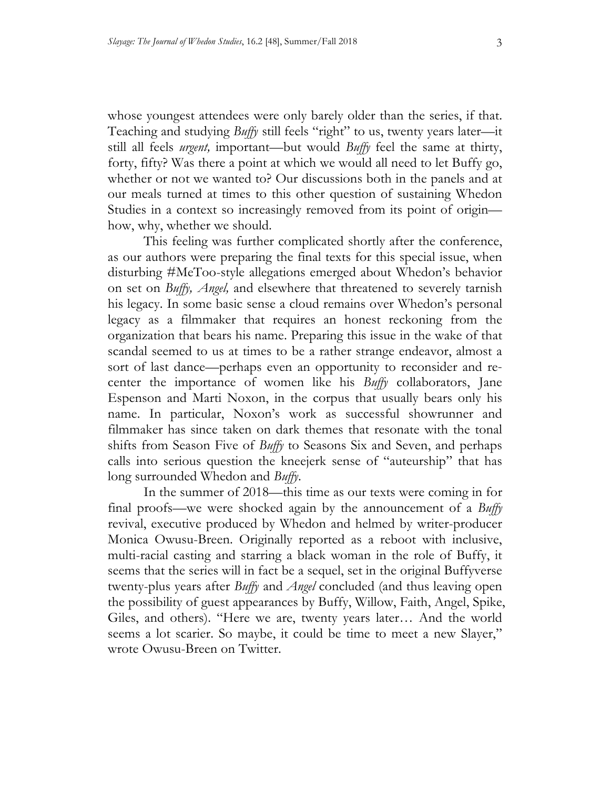whose youngest attendees were only barely older than the series, if that. Teaching and studying *Buffy* still feels "right" to us, twenty years later—it still all feels *urgent,* important—but would *Buffy* feel the same at thirty, forty, fifty? Was there a point at which we would all need to let Buffy go, whether or not we wanted to? Our discussions both in the panels and at our meals turned at times to this other question of sustaining Whedon Studies in a context so increasingly removed from its point of origin— how, why, whether we should.

 This feeling was further complicated shortly after the conference, as our authors were preparing the final texts for this special issue, when disturbing #MeToo-style allegations emerged about Whedon's behavior on set on *Buffy, Angel,* and elsewhere that threatened to severely tarnish his legacy. In some basic sense a cloud remains over Whedon's personal legacy as a filmmaker that requires an honest reckoning from the organization that bears his name. Preparing this issue in the wake of that scandal seemed to us at times to be a rather strange endeavor, almost a sort of last dance—perhaps even an opportunity to reconsider and re- center the importance of women like his *Buffy* collaborators, Jane Espenson and Marti Noxon, in the corpus that usually bears only his name. In particular, Noxon's work as successful showrunner and filmmaker has since taken on dark themes that resonate with the tonal shifts from Season Five of *Buffy* to Seasons Six and Seven, and perhaps calls into serious question the kneejerk sense of "auteurship" that has long surrounded Whedon and *Buffy*.

 In the summer of 2018—this time as our texts were coming in for final proofs—we were shocked again by the announcement of a *Buffy*  Monica Owusu-Breen. Originally reported as a reboot with inclusive, multi-racial casting and starring a black woman in the role of Buffy, it seems that the series will in fact be a sequel, set in the original Buffyverse twenty-plus years after *Buffy* and *Angel* concluded (and thus leaving open the possibility of guest appearances by Buffy, Willow, Faith, Angel, Spike, Giles, and others). "Here we are, twenty years later… And the world seems a lot scarier. So maybe, it could be time to meet a new Slayer," wrote Owusu-Breen on Twitter. revival, executive produced by Whedon and helmed by writer-producer